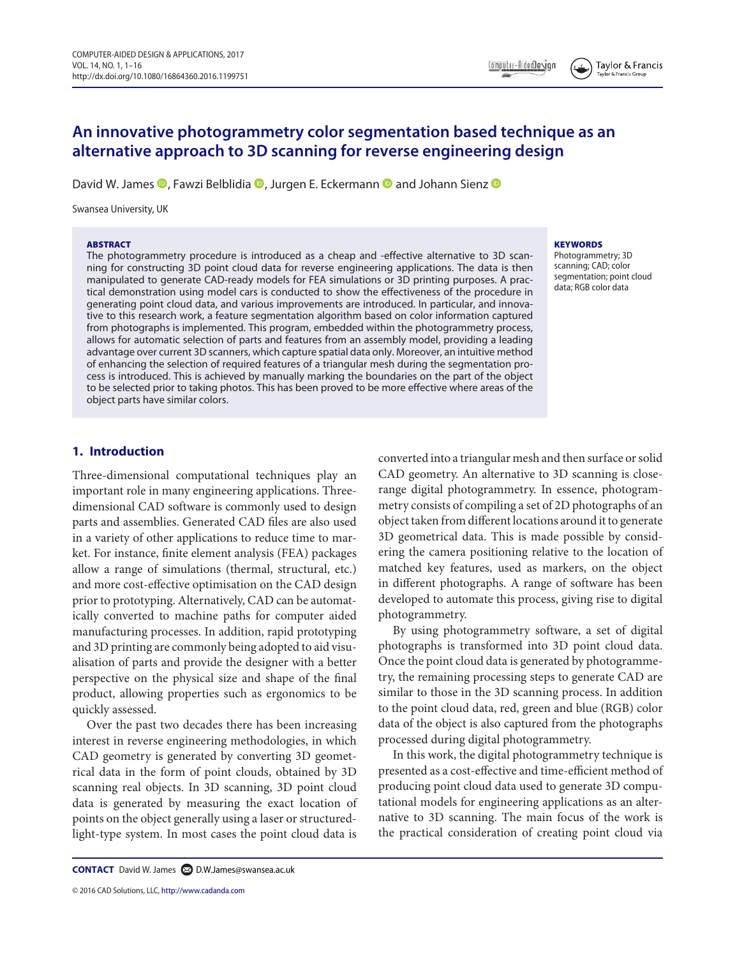# <span id="page-0-0"></span>**An innovative photogrammetry color segmentation based technique as an alternative approach to 3D scanning for reverse engineering design**

David W. James **D**[,](http://orcid.org/0000-0002-8170-0468) Fawzi Belblidia **D**, Jurgen E. Eckermann **D** and Johann Sienz **D** 

Swansea University, UK

#### **ABSTRACT**

The photogrammetry procedure is introduced as a cheap and -effective alternative to 3D scanning for constructing 3D point cloud data for reverse engineering applications. The data is then manipulated to generate CAD-ready models for FEA simulations or 3D printing purposes. A practical demonstration using model cars is conducted to show the effectiveness of the procedure in generating point cloud data, and various improvements are introduced. In particular, and innovative to this research work, a feature segmentation algorithm based on color information captured from photographs is implemented. This program, embedded within the photogrammetry process, allows for automatic selection of parts and features from an assembly model, providing a leading advantage over current 3D scanners, which capture spatial data only. Moreover, an intuitive method of enhancing the selection of required features of a triangular mesh during the segmentation process is introduced. This is achieved by manually marking the boundaries on the part of the object to be selected prior to taking photos. This has been proved to be more effective where areas of the object parts have similar colors.

#### **KEYWORDS**

Photogrammetry; 3D scanning; CAD; color segmentation; point cloud data; RGB color data

# **1. Introduction**

Three-dimensional computational techniques play an important role in many engineering applications. Threedimensional CAD software is commonly used to design parts and assemblies. Generated CAD files are also used in a variety of other applications to reduce time to market. For instance, finite element analysis (FEA) packages allow a range of simulations (thermal, structural, etc.) and more cost-effective optimisation on the CAD design prior to prototyping. Alternatively, CAD can be automatically converted to machine paths for computer aided manufacturing processes. In addition, rapid prototyping and 3D printing are commonly being adopted to aid visualisation of parts and provide the designer with a better perspective on the physical size and shape of the final product, allowing properties such as ergonomics to be quickly assessed.

Over the past two decades there has been increasing interest in reverse engineering methodologies, in which CAD geometry is generated by converting 3D geometrical data in the form of point clouds, obtained by 3D scanning real objects. In 3D scanning, 3D point cloud data is generated by measuring the exact location of points on the object generally using a laser or structuredlight-type system. In most cases the point cloud data is

converted into a triangular mesh and then surface or solid CAD geometry. An alternative to 3D scanning is closerange digital photogrammetry. In essence, photogrammetry consists of compiling a set of 2D photographs of an object taken from different locations around it to generate 3D geometrical data. This is made possible by considering the camera positioning relative to the location of matched key features, used as markers, on the object in different photographs. A range of software has been developed to automate this process, giving rise to digital photogrammetry.

By using photogrammetry software, a set of digital photographs is transformed into 3D point cloud data. Once the point cloud data is generated by photogrammetry, the remaining processing steps to generate CAD are similar to those in the 3D scanning process. In addition to the point cloud data, red, green and blue (RGB) color data of the object is also captured from the photographs processed during digital photogrammetry.

In this work, the digital photogrammetry technique is presented as a cost-effective and time-efficient method of producing point cloud data used to generate 3D computational models for engineering applications as an alternative to 3D scanning. The main focus of the work is the practical consideration of creating point cloud via

**CONTACT** David W. James **⊘** [D.W.James@swansea.ac.uk](mailto:D.W.James@swansea.ac.uk)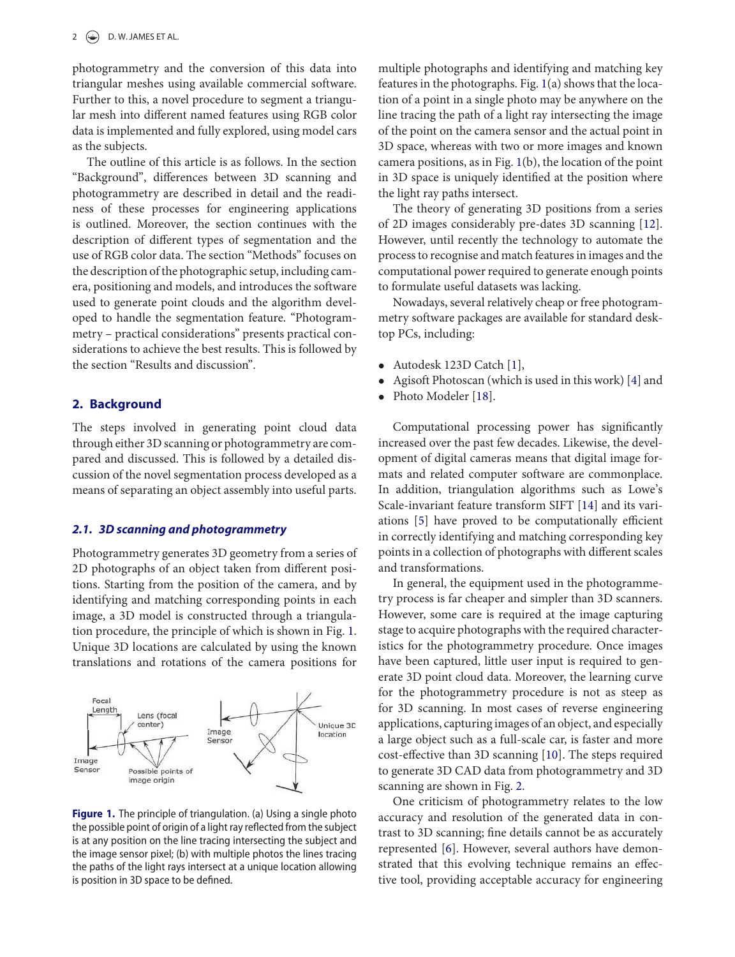photogrammetry and the conversion of this data into triangular meshes using available commercial software. Further to this, a novel procedure to segment a triangular mesh into different named features using RGB color data is implemented and fully explored, using model cars as the subjects.

The outline of this article is as follows. In the section "Background", differences between 3D scanning and photogrammetry are described in detail and the readiness of these processes for engineering applications is outlined. Moreover, the section continues with the description of different types of segmentation and the use of RGB color data. The section "Methods" focuses on the description of the photographic setup, including camera, positioning and models, and introduces the software used to generate point clouds and the algorithm developed to handle the segmentation feature. "Photogrammetry – practical considerations" presents practical considerations to achieve the best results. This is followed by the section "Results and discussion".

### **2. Background**

The steps involved in generating point cloud data through either 3D scanning or photogrammetry are compared and discussed. This is followed by a detailed discussion of the novel segmentation process developed as a means of separating an object assembly into useful parts.

#### *2.1. 3D scanning and photogrammetry*

Photogrammetry generates 3D geometry from a series of 2D photographs of an object taken from different positions. Starting from the position of the camera, and by identifying and matching corresponding points in each image, a 3D model is constructed through a triangulation procedure, the principle of which is shown in Fig. [1.](#page-1-0) Unique 3D locations are calculated by using the known translations and rotations of the camera positions for



<span id="page-1-0"></span>**Figure 1.** The principle of triangulation. (a) Using a single photo the possible point of origin of a light ray reflected from the subject is at any position on the line tracing intersecting the subject and the image sensor pixel; (b) with multiple photos the lines tracing the paths of the light rays intersect at a unique location allowing is position in 3D space to be defined.

multiple photographs and identifying and matching key features in the photographs. Fig. [1\(](#page-1-0)a) shows that the location of a point in a single photo may be anywhere on the line tracing the path of a light ray intersecting the image of the point on the camera sensor and the actual point in 3D space, whereas with two or more images and known camera positions, as in Fig. [1\(](#page-1-0)b), the location of the point in 3D space is uniquely identified at the position where the light ray paths intersect.

<span id="page-1-4"></span>The theory of generating 3D positions from a series of 2D images considerably pre-dates 3D scanning [\[12\]](#page-14-0). However, until recently the technology to automate the process to recognise and match features in images and the computational power required to generate enough points to formulate useful datasets was lacking.

Nowadays, several relatively cheap or free photogrammetry software packages are available for standard desktop PCs, including:

- Autodesk 123D Catch [\[1](#page-14-1)],<br>• Agisoft Photoscan (which)
- Agisoft Photoscan (which is used in this work) [\[4\]](#page-14-2) and
- Photo Modeler [\[18](#page-15-0)].

<span id="page-1-5"></span>Computational processing power has significantly increased over the past few decades. Likewise, the development of digital cameras means that digital image formats and related computer software are commonplace. In addition, triangulation algorithms such as Lowe's Scale-invariant feature transform SIFT [\[14\]](#page-15-1) and its variations [\[5](#page-14-3)] have proved to be computationally efficient in correctly identifying and matching corresponding key points in a collection of photographs with different scales and transformations.

<span id="page-1-1"></span>In general, the equipment used in the photogrammetry process is far cheaper and simpler than 3D scanners. However, some care is required at the image capturing stage to acquire photographs with the required characteristics for the photogrammetry procedure. Once images have been captured, little user input is required to generate 3D point cloud data. Moreover, the learning curve for the photogrammetry procedure is not as steep as for 3D scanning. In most cases of reverse engineering applications, capturing images of an object, and especially a large object such as a full-scale car, is faster and more cost-effective than 3D scanning [\[10\]](#page-14-4). The steps required to generate 3D CAD data from photogrammetry and 3D scanning are shown in Fig. [2.](#page-2-0)

<span id="page-1-3"></span><span id="page-1-2"></span>One criticism of photogrammetry relates to the low accuracy and resolution of the generated data in contrast to 3D scanning; fine details cannot be as accurately represented [\[6\]](#page-14-5). However, several authors have demonstrated that this evolving technique remains an effective tool, providing acceptable accuracy for engineering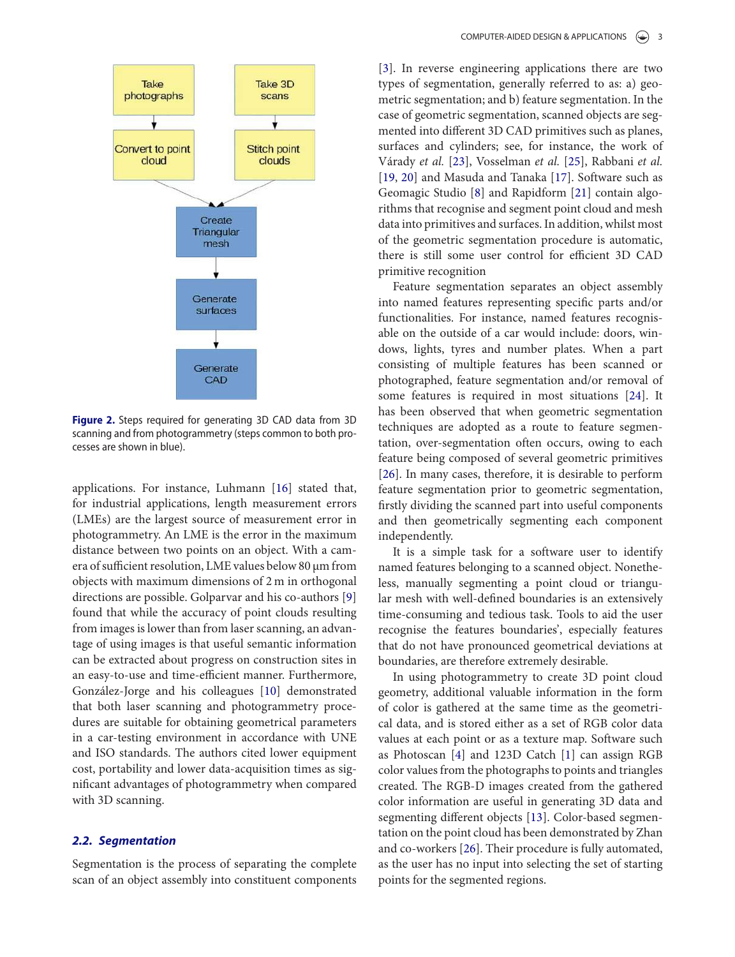

<span id="page-2-0"></span>**Figure 2.** Steps required for generating 3D CAD data from 3D scanning and from photogrammetry (steps common to both processes are shown in blue).

applications. For instance, Luhmann [\[16\]](#page-15-2) stated that, for industrial applications, length measurement errors (LMEs) are the largest source of measurement error in photogrammetry. An LME is the error in the maximum distance between two points on an object. With a camera of sufficient resolution, LME values below 80 μm from objects with maximum dimensions of 2 m in orthogonal directions are possible. Golparvar and his co-authors [\[9](#page-14-6)] found that while the accuracy of point clouds resulting from images is lower than from laser scanning, an advantage of using images is that useful semantic information can be extracted about progress on construction sites in an easy-to-use and time-efficient manner. Furthermore, González-Jorge and his colleagues [\[10](#page-14-4)] demonstrated that both laser scanning and photogrammetry procedures are suitable for obtaining geometrical parameters in a car-testing environment in accordance with UNE and ISO standards. The authors cited lower equipment cost, portability and lower data-acquisition times as significant advantages of photogrammetry when compared with 3D scanning.

### *2.2. Segmentation*

Segmentation is the process of separating the complete scan of an object assembly into constituent components

<span id="page-2-9"></span><span id="page-2-7"></span><span id="page-2-6"></span><span id="page-2-5"></span><span id="page-2-4"></span><span id="page-2-1"></span>[\[3\]](#page-14-7). In reverse engineering applications there are two types of segmentation, generally referred to as: a) geometric segmentation; and b) feature segmentation. In the case of geometric segmentation, scanned objects are segmented into different 3D CAD primitives such as planes, surfaces and cylinders; see, for instance, the work of Várady *et al.* [\[23\]](#page-15-3), Vosselman *et al.* [\[25](#page-15-4)], Rabbani *et al.* [\[19,](#page-15-5) [20](#page-15-6)] and Masuda and Tanaka [\[17](#page-15-7)]. Software such as Geomagic Studio [\[8\]](#page-14-8) and Rapidform [\[21](#page-15-8)] contain algorithms that recognise and segment point cloud and mesh data into primitives and surfaces. In addition, whilst most of the geometric segmentation procedure is automatic, there is still some user control for efficient 3D CAD primitive recognition

<span id="page-2-8"></span>Feature segmentation separates an object assembly into named features representing specific parts and/or functionalities. For instance, named features recognisable on the outside of a car would include: doors, windows, lights, tyres and number plates. When a part consisting of multiple features has been scanned or photographed, feature segmentation and/or removal of some features is required in most situations [\[24](#page-15-9)]. It has been observed that when geometric segmentation techniques are adopted as a route to feature segmentation, over-segmentation often occurs, owing to each feature being composed of several geometric primitives [\[26\]](#page-15-10). In many cases, therefore, it is desirable to perform feature segmentation prior to geometric segmentation, firstly dividing the scanned part into useful components and then geometrically segmenting each component independently.

<span id="page-2-10"></span><span id="page-2-3"></span><span id="page-2-2"></span>It is a simple task for a software user to identify named features belonging to a scanned object. Nonetheless, manually segmenting a point cloud or triangular mesh with well-defined boundaries is an extensively time-consuming and tedious task. Tools to aid the user recognise the features boundaries', especially features that do not have pronounced geometrical deviations at boundaries, are therefore extremely desirable.

In using photogrammetry to create 3D point cloud geometry, additional valuable information in the form of color is gathered at the same time as the geometrical data, and is stored either as a set of RGB color data values at each point or as a texture map. Software such as Photoscan [\[4\]](#page-14-2) and 123D Catch [\[1\]](#page-14-1) can assign RGB color values from the photographs to points and triangles created. The RGB-D images created from the gathered color information are useful in generating 3D data and segmenting different objects [\[13](#page-14-9)]. Color-based segmentation on the point cloud has been demonstrated by Zhan and co-workers [\[26\]](#page-15-10). Their procedure is fully automated, as the user has no input into selecting the set of starting points for the segmented regions.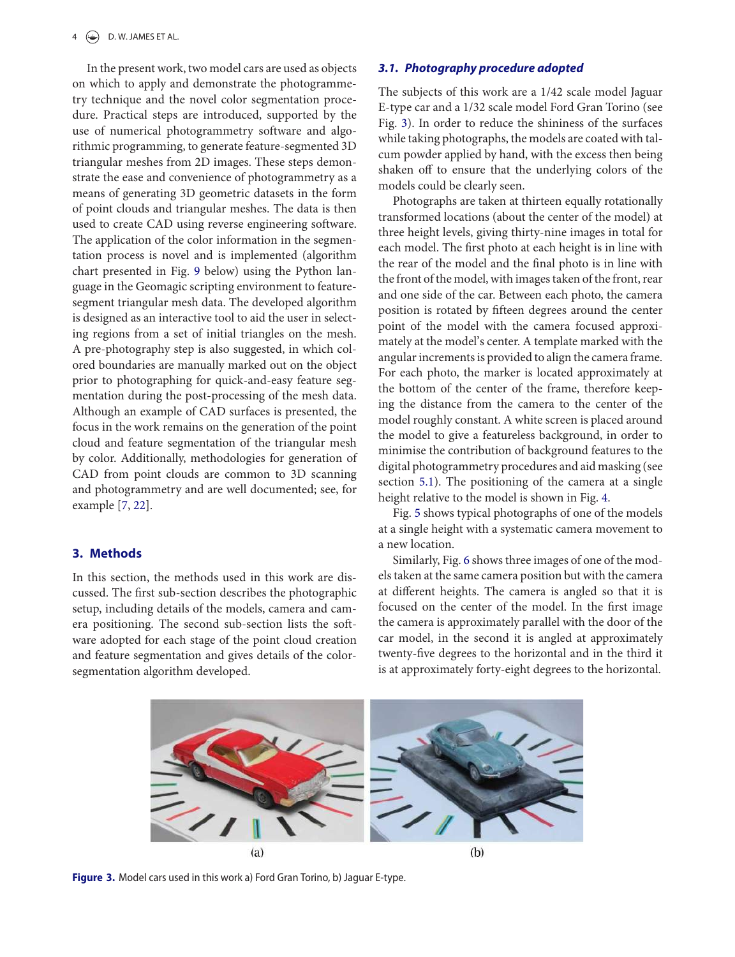In the present work, two model cars are used as objects on which to apply and demonstrate the photogrammetry technique and the novel color segmentation procedure. Practical steps are introduced, supported by the use of numerical photogrammetry software and algorithmic programming, to generate feature-segmented 3D triangular meshes from 2D images. These steps demonstrate the ease and convenience of photogrammetry as a means of generating 3D geometric datasets in the form of point clouds and triangular meshes. The data is then used to create CAD using reverse engineering software. The application of the color information in the segmentation process is novel and is implemented (algorithm chart presented in Fig. [9](#page-6-0) below) using the Python language in the Geomagic scripting environment to featuresegment triangular mesh data. The developed algorithm is designed as an interactive tool to aid the user in selecting regions from a set of initial triangles on the mesh. A pre-photography step is also suggested, in which colored boundaries are manually marked out on the object prior to photographing for quick-and-easy feature segmentation during the post-processing of the mesh data. Although an example of CAD surfaces is presented, the focus in the work remains on the generation of the point cloud and feature segmentation of the triangular mesh by color. Additionally, methodologies for generation of CAD from point clouds are common to 3D scanning and photogrammetry and are well documented; see, for example [\[7,](#page-14-10) [22\]](#page-15-11).

# <span id="page-3-2"></span><span id="page-3-1"></span>**3. Methods**

In this section, the methods used in this work are discussed. The first sub-section describes the photographic setup, including details of the models, camera and camera positioning. The second sub-section lists the software adopted for each stage of the point cloud creation and feature segmentation and gives details of the colorsegmentation algorithm developed.

#### *3.1. Photography procedure adopted*

The subjects of this work are a 1/42 scale model Jaguar E-type car and a 1/32 scale model Ford Gran Torino (see Fig. [3\)](#page-3-0). In order to reduce the shininess of the surfaces while taking photographs, the models are coated with talcum powder applied by hand, with the excess then being shaken off to ensure that the underlying colors of the models could be clearly seen.

Photographs are taken at thirteen equally rotationally transformed locations (about the center of the model) at three height levels, giving thirty-nine images in total for each model. The first photo at each height is in line with the rear of the model and the final photo is in line with the front of the model, with images taken of the front, rear and one side of the car. Between each photo, the camera position is rotated by fifteen degrees around the center point of the model with the camera focused approximately at the model's center. A template marked with the angular increments is provided to align the camera frame. For each photo, the marker is located approximately at the bottom of the center of the frame, therefore keeping the distance from the camera to the center of the model roughly constant. A white screen is placed around the model to give a featureless background, in order to minimise the contribution of background features to the digital photogrammetry procedures and aid masking (see section [5.1\)](#page-9-0). The positioning of the camera at a single height relative to the model is shown in Fig. [4.](#page-4-0)

Fig. [5](#page-4-1) shows typical photographs of one of the models at a single height with a systematic camera movement to a new location.

Similarly, Fig. [6](#page-4-2) shows three images of one of the models taken at the same camera position but with the camera at different heights. The camera is angled so that it is focused on the center of the model. In the first image the camera is approximately parallel with the door of the car model, in the second it is angled at approximately twenty-five degrees to the horizontal and in the third it is at approximately forty-eight degrees to the horizontal.

<span id="page-3-0"></span>

**Figure 3.** Model cars used in this work a) Ford Gran Torino, b) Jaguar E-type.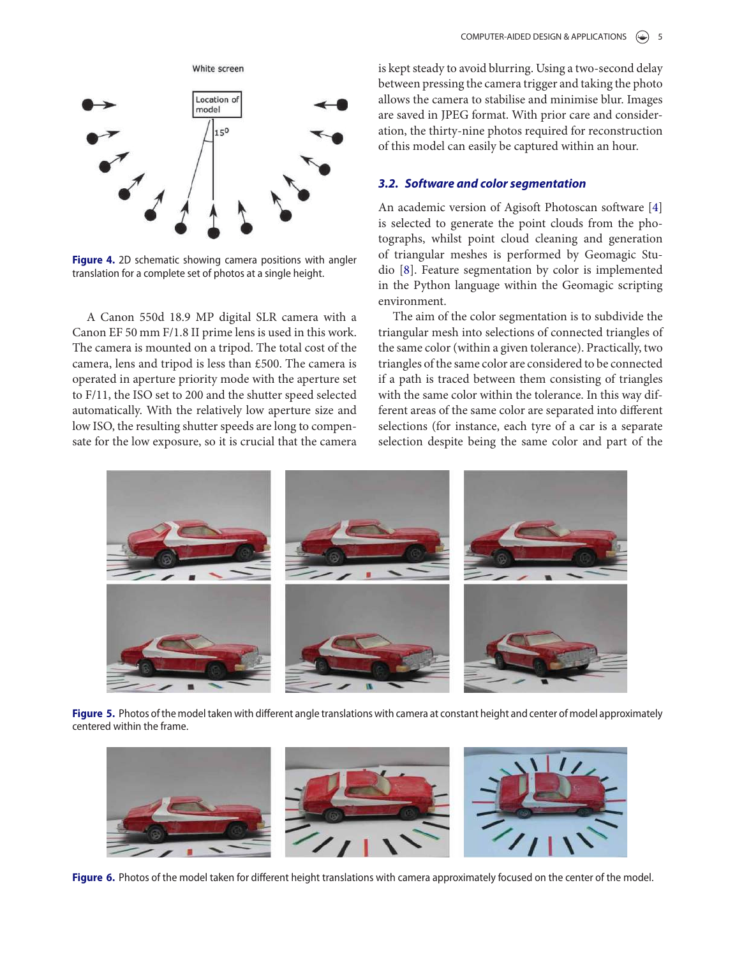

<span id="page-4-0"></span>**Figure 4.** 2D schematic showing camera positions with angler translation for a complete set of photos at a single height.

A Canon 550d 18.9 MP digital SLR camera with a Canon EF 50 mm F/1.8 II prime lens is used in this work. The camera is mounted on a tripod. The total cost of the camera, lens and tripod is less than £500. The camera is operated in aperture priority mode with the aperture set to F/11, the ISO set to 200 and the shutter speed selected automatically. With the relatively low aperture size and low ISO, the resulting shutter speeds are long to compensate for the low exposure, so it is crucial that the camera is kept steady to avoid blurring. Using a two-second delay between pressing the camera trigger and taking the photo allows the camera to stabilise and minimise blur. Images are saved in JPEG format. With prior care and consideration, the thirty-nine photos required for reconstruction of this model can easily be captured within an hour.

#### *3.2. Software and color segmentation*

An academic version of Agisoft Photoscan software [\[4](#page-14-2)] is selected to generate the point clouds from the photographs, whilst point cloud cleaning and generation of triangular meshes is performed by Geomagic Studio [\[8\]](#page-14-8). Feature segmentation by color is implemented in the Python language within the Geomagic scripting environment.

The aim of the color segmentation is to subdivide the triangular mesh into selections of connected triangles of the same color (within a given tolerance). Practically, two triangles of the same color are considered to be connected if a path is traced between them consisting of triangles with the same color within the tolerance. In this way different areas of the same color are separated into different selections (for instance, each tyre of a car is a separate selection despite being the same color and part of the



**Figure 5.** Photos of the model taken with different angle translations with camera at constant height and center of model approximately centered within the frame.

<span id="page-4-2"></span><span id="page-4-1"></span>

**Figure 6.** Photos of the model taken for different height translations with camera approximately focused on the center of the model.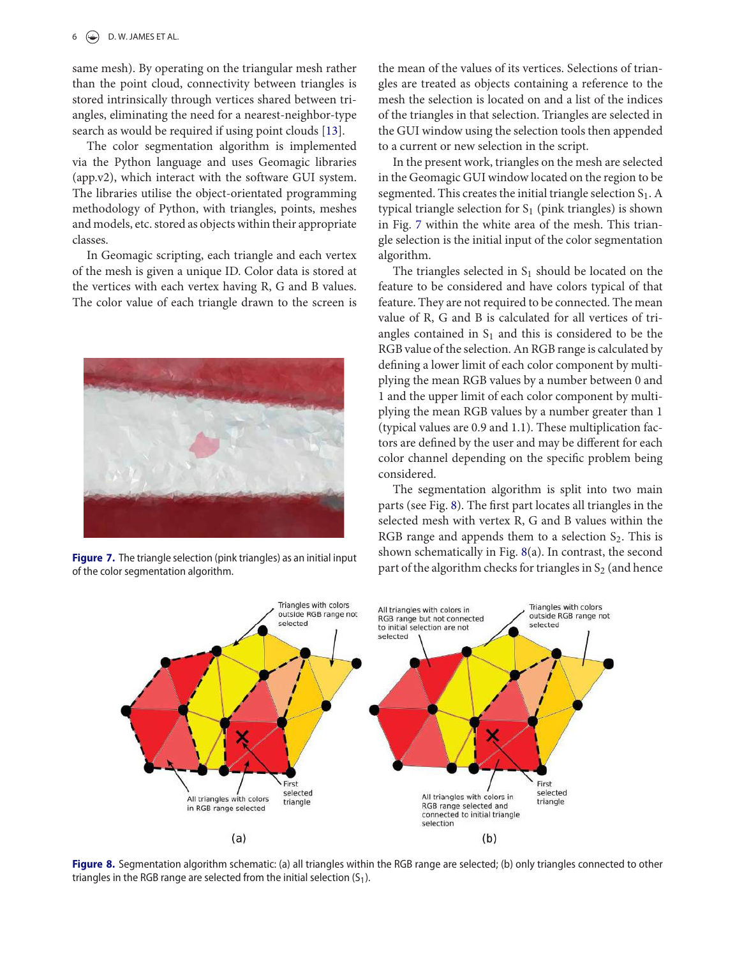same mesh). By operating on the triangular mesh rather than the point cloud, connectivity between triangles is stored intrinsically through vertices shared between triangles, eliminating the need for a nearest-neighbor-type search as would be required if using point clouds [\[13](#page-14-9)].

The color segmentation algorithm is implemented via the Python language and uses Geomagic libraries (app.v2), which interact with the software GUI system. The libraries utilise the object-orientated programming methodology of Python, with triangles, points, meshes and models, etc. stored as objects within their appropriate classes.

In Geomagic scripting, each triangle and each vertex of the mesh is given a unique ID. Color data is stored at the vertices with each vertex having R, G and B values. The color value of each triangle drawn to the screen is



**Figure 7.** The triangle selection (pink triangles) as an initial input of the color segmentation algorithm.

the mean of the values of its vertices. Selections of triangles are treated as objects containing a reference to the mesh the selection is located on and a list of the indices of the triangles in that selection. Triangles are selected in the GUI window using the selection tools then appended to a current or new selection in the script.

In the present work, triangles on the mesh are selected in the Geomagic GUI window located on the region to be segmented. This creates the initial triangle selection  $S_1$ . A typical triangle selection for  $S_1$  (pink triangles) is shown in Fig. [7](#page-5-0) within the white area of the mesh. This triangle selection is the initial input of the color segmentation algorithm.

The triangles selected in  $S_1$  should be located on the feature to be considered and have colors typical of that feature. They are not required to be connected. The mean value of R, G and B is calculated for all vertices of triangles contained in  $S_1$  and this is considered to be the RGB value of the selection. An RGB range is calculated by defining a lower limit of each color component by multiplying the mean RGB values by a number between 0 and 1 and the upper limit of each color component by multiplying the mean RGB values by a number greater than 1 (typical values are 0.9 and 1.1). These multiplication factors are defined by the user and may be different for each color channel depending on the specific problem being considered.

The segmentation algorithm is split into two main parts (see Fig. [8\)](#page-5-1). The first part locates all triangles in the selected mesh with vertex R, G and B values within the RGB range and appends them to a selection  $S_2$ . This is shown schematically in Fig. [8\(](#page-5-1)a). In contrast, the second part of the algorithm checks for triangles in  $S_2$  (and hence

<span id="page-5-0"></span>

<span id="page-5-1"></span>**Figure 8.** Segmentation algorithm schematic: (a) all triangles within the RGB range are selected; (b) only triangles connected to other triangles in the RGB range are selected from the initial selection  $(S_1)$ .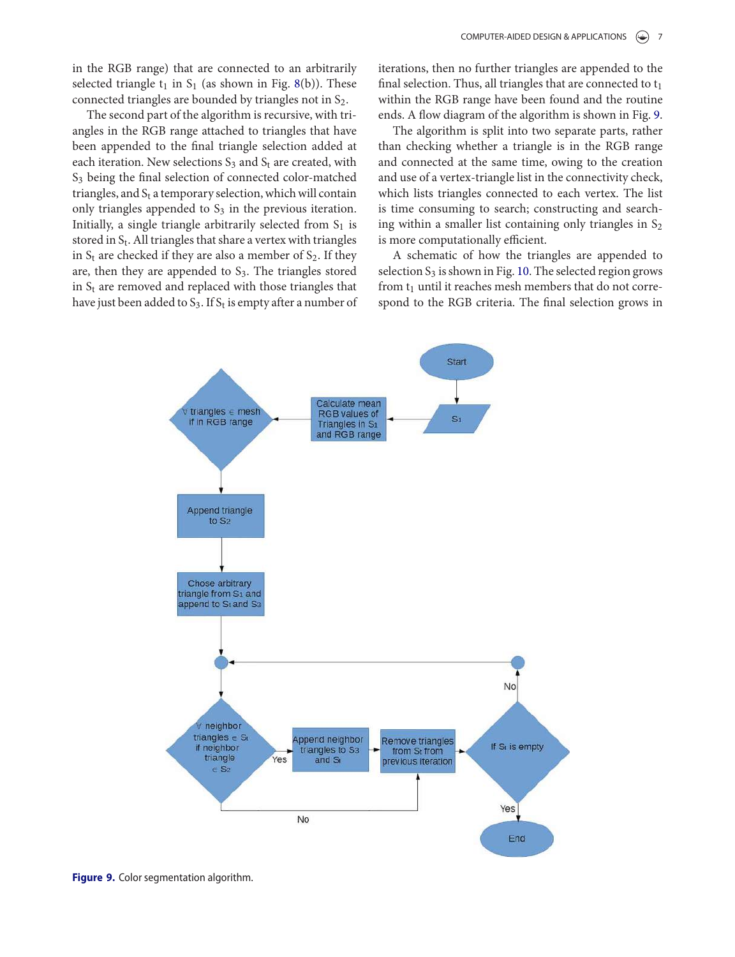in the RGB range) that are connected to an arbitrarily selected triangle  $t_1$  in  $S_1$  (as shown in Fig. [8\(](#page-5-1)b)). These connected triangles are bounded by triangles not in S<sub>2</sub>.

The second part of the algorithm is recursive, with triangles in the RGB range attached to triangles that have been appended to the final triangle selection added at each iteration. New selections  $S_3$  and  $S_t$  are created, with S3 being the final selection of connected color-matched triangles, and  $S_t$  a temporary selection, which will contain only triangles appended to  $S_3$  in the previous iteration. Initially, a single triangle arbitrarily selected from  $S_1$  is stored in  $S_t$ . All triangles that share a vertex with triangles in  $S_t$  are checked if they are also a member of  $S_2$ . If they are, then they are appended to  $S_3$ . The triangles stored in  $S_t$  are removed and replaced with those triangles that have just been added to  $S_3$ . If  $S_t$  is empty after a number of iterations, then no further triangles are appended to the final selection. Thus, all triangles that are connected to  $t_1$ within the RGB range have been found and the routine ends. A flow diagram of the algorithm is shown in Fig. [9.](#page-6-0)

The algorithm is split into two separate parts, rather than checking whether a triangle is in the RGB range and connected at the same time, owing to the creation and use of a vertex-triangle list in the connectivity check, which lists triangles connected to each vertex. The list is time consuming to search; constructing and searching within a smaller list containing only triangles in  $S_2$ is more computationally efficient.

A schematic of how the triangles are appended to selection  $S_3$  is shown in Fig. [10.](#page-7-0) The selected region grows from  $t_1$  until it reaches mesh members that do not correspond to the RGB criteria. The final selection grows in



<span id="page-6-0"></span>**Figure 9.** Color segmentation algorithm.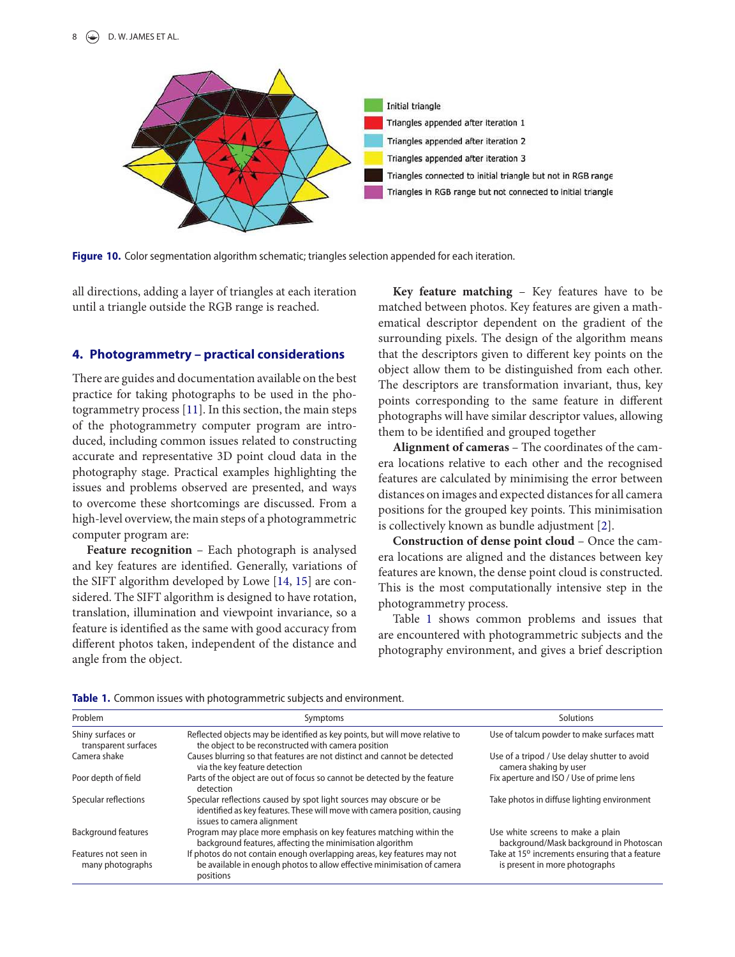

<span id="page-7-0"></span>**Figure 10.** Color segmentation algorithm schematic; triangles selection appended for each iteration.

all directions, adding a layer of triangles at each iteration until a triangle outside the RGB range is reached.

## **4. Photogrammetry – practical considerations**

<span id="page-7-3"></span>There are guides and documentation available on the best practice for taking photographs to be used in the photogrammetry process [\[11\]](#page-14-11). In this section, the main steps of the photogrammetry computer program are introduced, including common issues related to constructing accurate and representative 3D point cloud data in the photography stage. Practical examples highlighting the issues and problems observed are presented, and ways to overcome these shortcomings are discussed. From a high-level overview, the main steps of a photogrammetric computer program are:

**Feature recognition** – Each photograph is analysed and key features are identified. Generally, variations of the SIFT algorithm developed by Lowe [\[14](#page-15-1), [15](#page-15-12)] are considered. The SIFT algorithm is designed to have rotation, translation, illumination and viewpoint invariance, so a feature is identified as the same with good accuracy from different photos taken, independent of the distance and angle from the object.

**Key feature matching** – Key features have to be matched between photos. Key features are given a mathematical descriptor dependent on the gradient of the surrounding pixels. The design of the algorithm means that the descriptors given to different key points on the object allow them to be distinguished from each other. The descriptors are transformation invariant, thus, key points corresponding to the same feature in different photographs will have similar descriptor values, allowing them to be identified and grouped together

**Alignment of cameras** – The coordinates of the camera locations relative to each other and the recognised features are calculated by minimising the error between distances on images and expected distances for all camera positions for the grouped key points. This minimisation is collectively known as bundle adjustment [\[2\]](#page-14-12).

<span id="page-7-2"></span>**Construction of dense point cloud** – Once the camera locations are aligned and the distances between key features are known, the dense point cloud is constructed. This is the most computationally intensive step in the photogrammetry process.

Table [1](#page-7-1) shows common problems and issues that are encountered with photogrammetric subjects and the photography environment, and gives a brief description

<span id="page-7-1"></span>

| Problem                                   | Symptoms                                                                                                                                                                       | Solutions                                                                                    |
|-------------------------------------------|--------------------------------------------------------------------------------------------------------------------------------------------------------------------------------|----------------------------------------------------------------------------------------------|
| Shiny surfaces or<br>transparent surfaces | Reflected objects may be identified as key points, but will move relative to<br>the object to be reconstructed with camera position                                            | Use of talcum powder to make surfaces matt                                                   |
| Camera shake                              | Causes blurring so that features are not distinct and cannot be detected<br>via the key feature detection                                                                      | Use of a tripod / Use delay shutter to avoid<br>camera shaking by user                       |
| Poor depth of field                       | Parts of the object are out of focus so cannot be detected by the feature<br>detection                                                                                         | Fix aperture and ISO / Use of prime lens                                                     |
| Specular reflections                      | Specular reflections caused by spot light sources may obscure or be<br>identified as key features. These will move with camera position, causing<br>issues to camera alignment | Take photos in diffuse lighting environment                                                  |
| <b>Background features</b>                | Program may place more emphasis on key features matching within the<br>background features, affecting the minimisation algorithm                                               | Use white screens to make a plain<br>background/Mask background in Photoscan                 |
| Features not seen in<br>many photographs  | If photos do not contain enough overlapping areas, key features may not<br>be available in enough photos to allow effective minimisation of camera<br>positions                | Take at 15 <sup>°</sup> increments ensuring that a feature<br>is present in more photographs |

**Table 1.** Common issues with photogrammetric subjects and environment.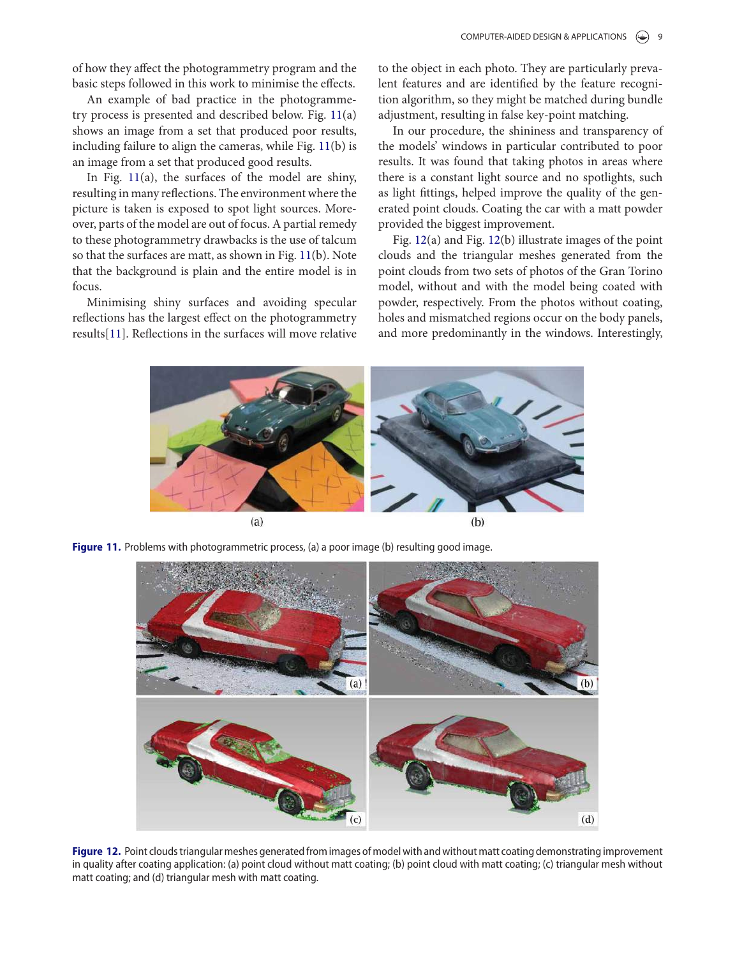of how they affect the photogrammetry program and the basic steps followed in this work to minimise the effects.

An example of bad practice in the photogrammetry process is presented and described below. Fig. [11\(](#page-8-0)a) shows an image from a set that produced poor results, including failure to align the cameras, while Fig. [11\(](#page-8-0)b) is an image from a set that produced good results.

In Fig. [11\(](#page-8-0)a), the surfaces of the model are shiny, resulting in many reflections. The environment where the picture is taken is exposed to spot light sources. Moreover, parts of the model are out of focus. A partial remedy to these photogrammetry drawbacks is the use of talcum so that the surfaces are matt, as shown in Fig. [11\(](#page-8-0)b). Note that the background is plain and the entire model is in focus.

Minimising shiny surfaces and avoiding specular reflections has the largest effect on the photogrammetry results[\[11\]](#page-14-11). Reflections in the surfaces will move relative to the object in each photo. They are particularly prevalent features and are identified by the feature recognition algorithm, so they might be matched during bundle adjustment, resulting in false key-point matching.

In our procedure, the shininess and transparency of the models' windows in particular contributed to poor results. It was found that taking photos in areas where there is a constant light source and no spotlights, such as light fittings, helped improve the quality of the generated point clouds. Coating the car with a matt powder provided the biggest improvement.

Fig. [12\(](#page-8-1)a) and Fig. [12\(](#page-8-1)b) illustrate images of the point clouds and the triangular meshes generated from the point clouds from two sets of photos of the Gran Torino model, without and with the model being coated with powder, respectively. From the photos without coating, holes and mismatched regions occur on the body panels, and more predominantly in the windows. Interestingly,



**Figure 11.** Problems with photogrammetric process, (a) a poor image (b) resulting good image.

<span id="page-8-1"></span><span id="page-8-0"></span>

**Figure 12.** Point clouds triangular meshes generated from images of model with and without matt coating demonstrating improvement in quality after coating application: (a) point cloud without matt coating; (b) point cloud with matt coating; (c) triangular mesh without matt coating; and (d) triangular mesh with matt coating.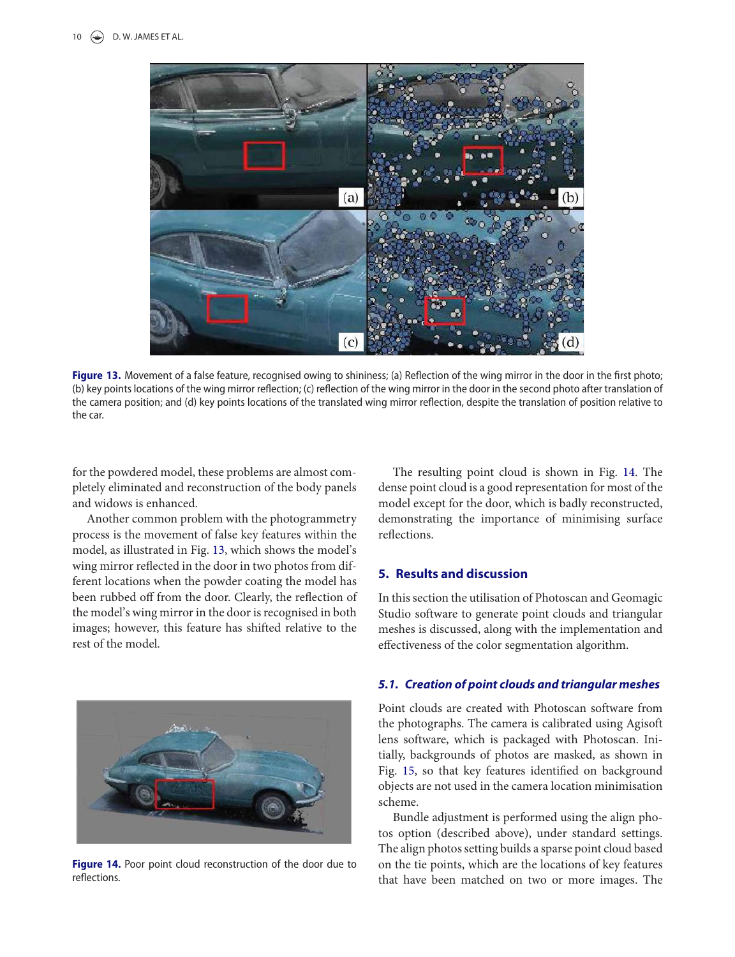

<span id="page-9-1"></span>**Figure 13.** Movement of a false feature, recognised owing to shininess; (a) Reflection of the wing mirror in the door in the first photo; (b) key points locations of the wing mirror reflection; (c) reflection of the wing mirror in the door in the second photo after translation of the camera position; and (d) key points locations of the translated wing mirror reflection, despite the translation of position relative to the car.

for the powdered model, these problems are almost completely eliminated and reconstruction of the body panels and widows is enhanced.

Another common problem with the photogrammetry process is the movement of false key features within the model, as illustrated in Fig. [13,](#page-9-1) which shows the model's wing mirror reflected in the door in two photos from different locations when the powder coating the model has been rubbed off from the door. Clearly, the reflection of the model's wing mirror in the door is recognised in both images; however, this feature has shifted relative to the rest of the model.

<span id="page-9-2"></span>

**Figure 14.** Poor point cloud reconstruction of the door due to reflections.

The resulting point cloud is shown in Fig. [14.](#page-9-2) The dense point cloud is a good representation for most of the model except for the door, which is badly reconstructed, demonstrating the importance of minimising surface reflections.

## **5. Results and discussion**

In this section the utilisation of Photoscan and Geomagic Studio software to generate point clouds and triangular meshes is discussed, along with the implementation and effectiveness of the color segmentation algorithm.

## <span id="page-9-0"></span>*5.1. Creation of point clouds and triangular meshes*

Point clouds are created with Photoscan software from the photographs. The camera is calibrated using Agisoft lens software, which is packaged with Photoscan. Initially, backgrounds of photos are masked, as shown in Fig. [15,](#page-10-0) so that key features identified on background objects are not used in the camera location minimisation scheme.

Bundle adjustment is performed using the align photos option (described above), under standard settings. The align photos setting builds a sparse point cloud based on the tie points, which are the locations of key features that have been matched on two or more images. The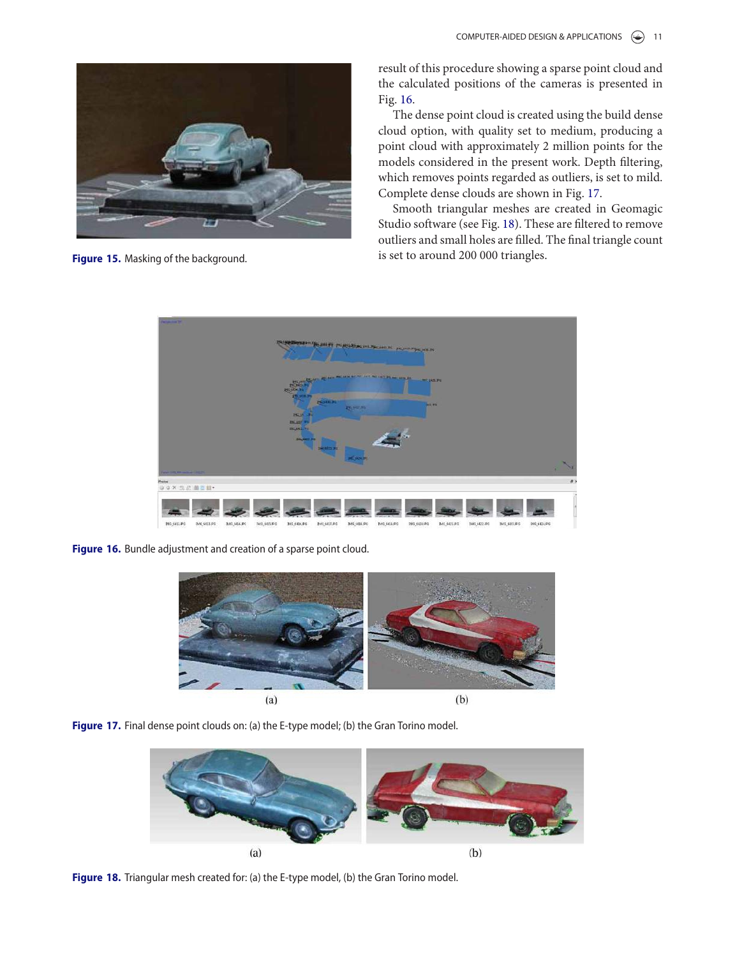

**Figure 15.** Masking of the background.

result of this procedure showing a sparse point cloud and the calculated positions of the cameras is presented in Fig. [16.](#page-10-1)

The dense point cloud is created using the build dense cloud option, with quality set to medium, producing a point cloud with approximately 2 million points for the models considered in the present work. Depth filtering, which removes points regarded as outliers, is set to mild. Complete dense clouds are shown in Fig. [17.](#page-10-2)

Smooth triangular meshes are created in Geomagic Studio software (see Fig. [18\)](#page-10-3). These are filtered to remove outliers and small holes are filled. The final triangle count is set to around 200 000 triangles.

<span id="page-10-0"></span>

**Figure 16.** Bundle adjustment and creation of a sparse point cloud.

<span id="page-10-1"></span>



<span id="page-10-3"></span><span id="page-10-2"></span>

Figure 18. Triangular mesh created for: (a) the E-type model, (b) the Gran Torino model.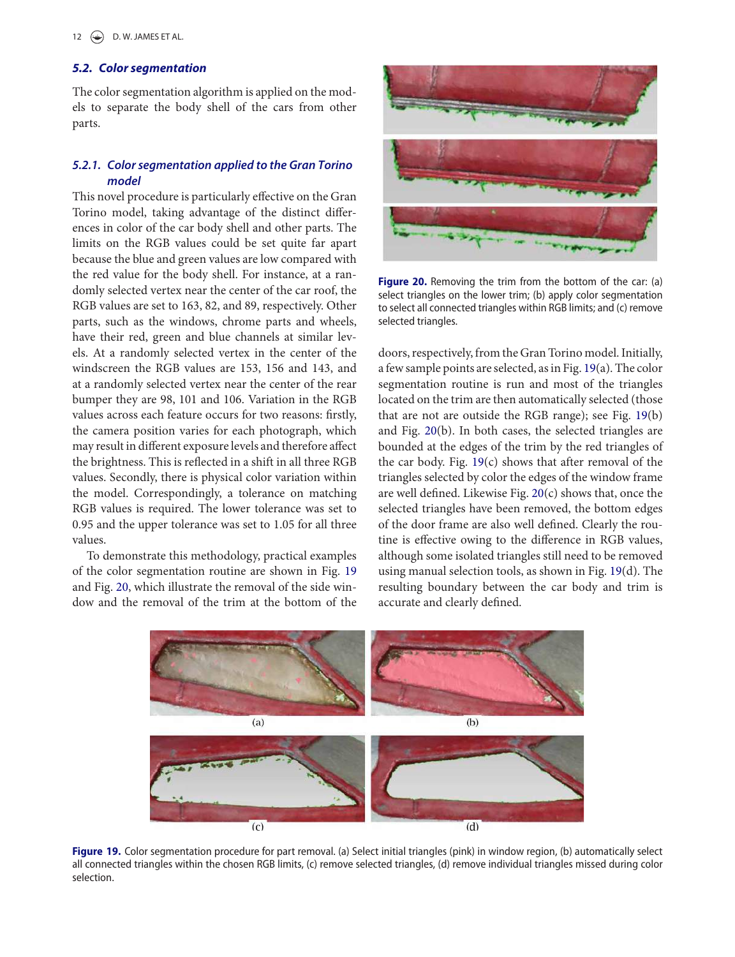# *5.2. Color segmentation*

The color segmentation algorithm is applied on the models to separate the body shell of the cars from other parts.

# *5.2.1. Color segmentation applied to the Gran Torino model*

This novel procedure is particularly effective on the Gran Torino model, taking advantage of the distinct differences in color of the car body shell and other parts. The limits on the RGB values could be set quite far apart because the blue and green values are low compared with the red value for the body shell. For instance, at a randomly selected vertex near the center of the car roof, the RGB values are set to 163, 82, and 89, respectively. Other parts, such as the windows, chrome parts and wheels, have their red, green and blue channels at similar levels. At a randomly selected vertex in the center of the windscreen the RGB values are 153, 156 and 143, and at a randomly selected vertex near the center of the rear bumper they are 98, 101 and 106. Variation in the RGB values across each feature occurs for two reasons: firstly, the camera position varies for each photograph, which may result in different exposure levels and therefore affect the brightness. This is reflected in a shift in all three RGB values. Secondly, there is physical color variation within the model. Correspondingly, a tolerance on matching RGB values is required. The lower tolerance was set to 0.95 and the upper tolerance was set to 1.05 for all three values.

To demonstrate this methodology, practical examples of the color segmentation routine are shown in Fig. [19](#page-11-0) and Fig. [20,](#page-11-1) which illustrate the removal of the side window and the removal of the trim at the bottom of the



**Figure 20.** Removing the trim from the bottom of the car: (a) select triangles on the lower trim; (b) apply color segmentation to select all connected triangles within RGB limits; and (c) remove selected triangles.

<span id="page-11-1"></span>doors, respectively, from the Gran Torino model. Initially, a few sample points are selected, as in Fig. [19\(](#page-11-0)a). The color segmentation routine is run and most of the triangles located on the trim are then automatically selected (those that are not are outside the RGB range); see Fig. [19\(](#page-11-0)b) and Fig. [20\(](#page-11-1)b). In both cases, the selected triangles are bounded at the edges of the trim by the red triangles of the car body. Fig. [19\(](#page-11-0)c) shows that after removal of the triangles selected by color the edges of the window frame are well defined. Likewise Fig. [20\(](#page-11-1)c) shows that, once the selected triangles have been removed, the bottom edges of the door frame are also well defined. Clearly the routine is effective owing to the difference in RGB values, although some isolated triangles still need to be removed using manual selection tools, as shown in Fig. [19\(](#page-11-0)d). The resulting boundary between the car body and trim is accurate and clearly defined.



<span id="page-11-0"></span>**Figure 19.** Color segmentation procedure for part removal. (a) Select initial triangles (pink) in window region, (b) automatically select all connected triangles within the chosen RGB limits, (c) remove selected triangles, (d) remove individual triangles missed during color selection.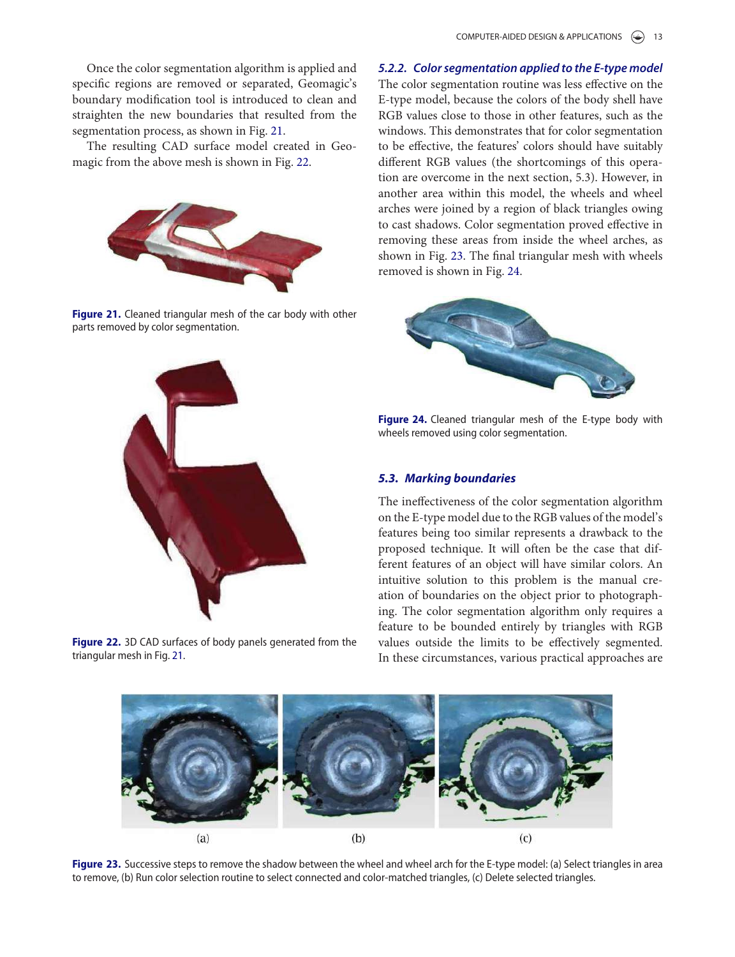Once the color segmentation algorithm is applied and specific regions are removed or separated, Geomagic's boundary modification tool is introduced to clean and straighten the new boundaries that resulted from the segmentation process, as shown in Fig. [21.](#page-12-0)

The resulting CAD surface model created in Geomagic from the above mesh is shown in Fig. [22.](#page-12-1)



**Figure 21.** Cleaned triangular mesh of the car body with other parts removed by color segmentation.

<span id="page-12-0"></span>

**Figure 22.** 3D CAD surfaces of body panels generated from the triangular mesh in Fig. [21.](#page-12-0)

# *5.2.2. Color segmentation applied to the E-type model*

The color segmentation routine was less effective on the E-type model, because the colors of the body shell have RGB values close to those in other features, such as the windows. This demonstrates that for color segmentation to be effective, the features' colors should have suitably different RGB values (the shortcomings of this operation are overcome in the next section, 5.3). However, in another area within this model, the wheels and wheel arches were joined by a region of black triangles owing to cast shadows. Color segmentation proved effective in removing these areas from inside the wheel arches, as shown in Fig. [23.](#page-12-2) The final triangular mesh with wheels removed is shown in Fig. [24.](#page-12-3)



**Figure 24.** Cleaned triangular mesh of the E-type body with wheels removed using color segmentation.

#### <span id="page-12-3"></span>*5.3. Marking boundaries*

The ineffectiveness of the color segmentation algorithm on the E-type model due to the RGB values of the model's features being too similar represents a drawback to the proposed technique. It will often be the case that different features of an object will have similar colors. An intuitive solution to this problem is the manual creation of boundaries on the object prior to photographing. The color segmentation algorithm only requires a feature to be bounded entirely by triangles with RGB values outside the limits to be effectively segmented. In these circumstances, various practical approaches are

<span id="page-12-1"></span>

<span id="page-12-2"></span>**Figure 23.** Successive steps to remove the shadow between the wheel and wheel arch for the E-type model: (a) Select triangles in area to remove, (b) Run color selection routine to select connected and color-matched triangles, (c) Delete selected triangles.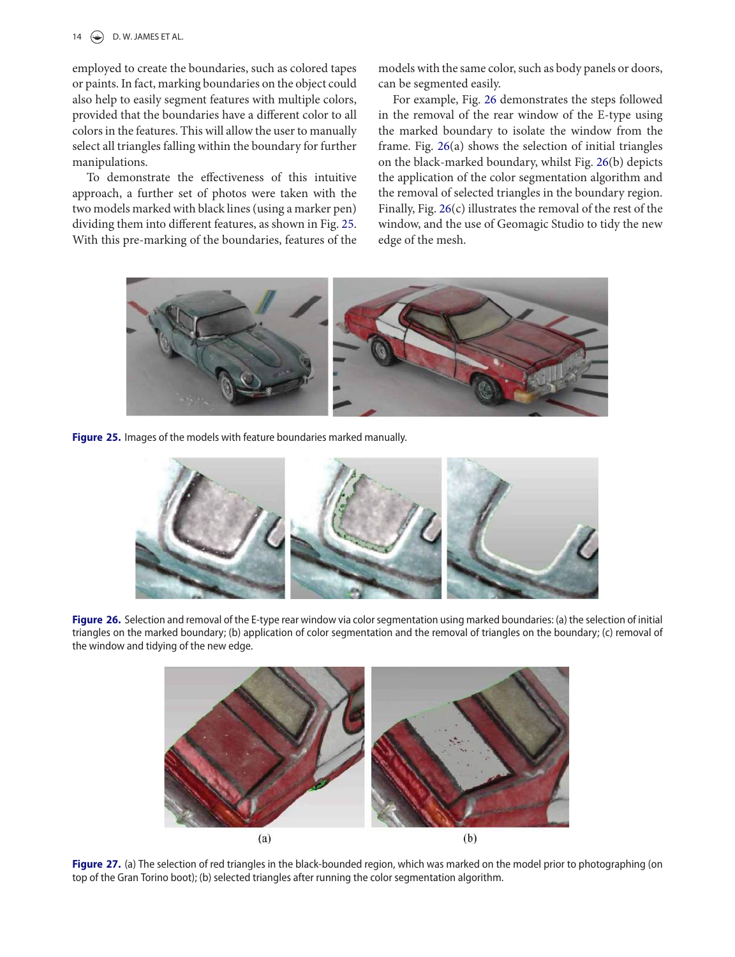employed to create the boundaries, such as colored tapes or paints. In fact, marking boundaries on the object could also help to easily segment features with multiple colors, provided that the boundaries have a different color to all colors in the features. This will allow the user to manually select all triangles falling within the boundary for further manipulations.

To demonstrate the effectiveness of this intuitive approach, a further set of photos were taken with the two models marked with black lines (using a marker pen) dividing them into different features, as shown in Fig. [25.](#page-13-0) With this pre-marking of the boundaries, features of the models with the same color, such as body panels or doors, can be segmented easily.

For example, Fig. [26](#page-13-1) demonstrates the steps followed in the removal of the rear window of the E-type using the marked boundary to isolate the window from the frame. Fig. [26\(](#page-13-1)a) shows the selection of initial triangles on the black-marked boundary, whilst Fig. [26\(](#page-13-1)b) depicts the application of the color segmentation algorithm and the removal of selected triangles in the boundary region. Finally, Fig. [26\(](#page-13-1)c) illustrates the removal of the rest of the window, and the use of Geomagic Studio to tidy the new edge of the mesh.



**Figure 25.** Images of the models with feature boundaries marked manually.

<span id="page-13-0"></span>

**Figure 26.** Selection and removal of the E-type rear window via color segmentation using marked boundaries: (a) the selection of initial triangles on the marked boundary; (b) application of color segmentation and the removal of triangles on the boundary; (c) removal of the window and tidying of the new edge.

<span id="page-13-1"></span>

<span id="page-13-2"></span>**Figure 27.** (a) The selection of red triangles in the black-bounded region, which was marked on the model prior to photographing (on top of the Gran Torino boot); (b) selected triangles after running the color segmentation algorithm.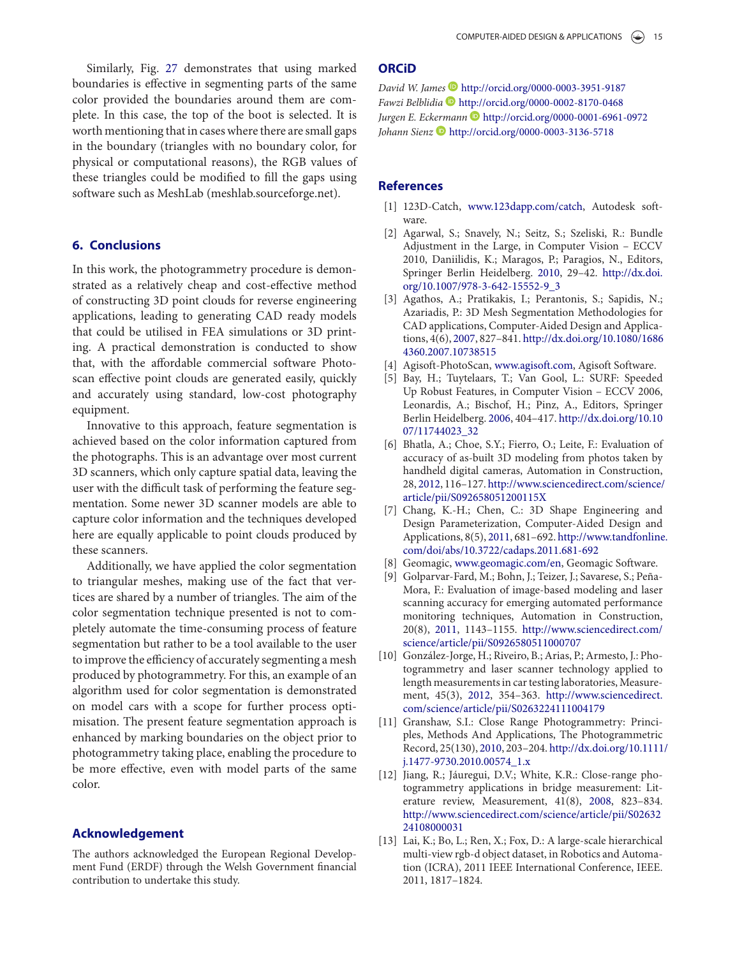Similarly, Fig. [27](#page-13-2) demonstrates that using marked boundaries is effective in segmenting parts of the same color provided the boundaries around them are complete. In this case, the top of the boot is selected. It is worth mentioning that in cases where there are small gaps in the boundary (triangles with no boundary color, for physical or computational reasons), the RGB values of these triangles could be modified to fill the gaps using software such as MeshLab (meshlab.sourceforge.net).

# **6. Conclusions**

In this work, the photogrammetry procedure is demonstrated as a relatively cheap and cost-effective method of constructing 3D point clouds for reverse engineering applications, leading to generating CAD ready models that could be utilised in FEA simulations or 3D printing. A practical demonstration is conducted to show that, with the affordable commercial software Photoscan effective point clouds are generated easily, quickly and accurately using standard, low-cost photography equipment.

Innovative to this approach, feature segmentation is achieved based on the color information captured from the photographs. This is an advantage over most current 3D scanners, which only capture spatial data, leaving the user with the difficult task of performing the feature segmentation. Some newer 3D scanner models are able to capture color information and the techniques developed here are equally applicable to point clouds produced by these scanners.

Additionally, we have applied the color segmentation to triangular meshes, making use of the fact that vertices are shared by a number of triangles. The aim of the color segmentation technique presented is not to completely automate the time-consuming process of feature segmentation but rather to be a tool available to the user to improve the efficiency of accurately segmenting a mesh produced by photogrammetry. For this, an example of an algorithm used for color segmentation is demonstrated on model cars with a scope for further process optimisation. The present feature segmentation approach is enhanced by marking boundaries on the object prior to photogrammetry taking place, enabling the procedure to be more effective, even with model parts of the same color.

## **Acknowledgement**

The authors acknowledged the European Regional Development Fund (ERDF) through the Welsh Government financial contribution to undertake this study.

### **ORCiD**

David W. James<sup>1</sup> <http://orcid.org/0000-0003-3951-9187> *Fawzi Belblidia* <http://orcid.org/0000-0002-8170-0468> *Jurgen E. Eckermann* **b** <http://orcid.org/0000-0001-6961-0972> Johann Sienz <sup>D</sup> <http://orcid.org/0000-0003-3136-5718>

## **References**

- <span id="page-14-1"></span>[1] 123D-Catch, [www.123dapp.com/catch,](http://www.123dapp.com/catch) Autodesk software.
- <span id="page-14-12"></span>[2] Agarwal, S.; Snavely, N.; Seitz, S.; Szeliski, R.: Bundle Adjustment in the Large, in Computer Vision – ECCV 2010, Daniilidis, K.; Maragos, P.; Paragios, N., Editors, Springer Berlin Heidelberg. [2010,](#page-7-2) 29–42. [http://dx.doi.](http://dx.doi.org/10.1007/978-3-642-15552-9_3) [org/10.1007/978-3-642-15552-9\\_3](http://dx.doi.org/10.1007/978-3-642-15552-9_3)
- <span id="page-14-7"></span>[3] Agathos, A.; Pratikakis, I.; Perantonis, S.; Sapidis, N.; Azariadis, P.: 3D Mesh Segmentation Methodologies for CAD applications, Computer-Aided Design and Applications, 4(6), [2007,](#page-2-1) 827–841. [http://dx.doi.org/10.1080/1686](http://dx.doi.org/10.1080/16864360.2007.10738515) [4360.2007.10738515](http://dx.doi.org/10.1080/16864360.2007.10738515)
- <span id="page-14-2"></span>[4] Agisoft-PhotoScan, [www.agisoft.com,](file:www.agisoft.com) Agisoft Software.
- <span id="page-14-3"></span>[5] Bay, H.; Tuytelaars, T.; Van Gool, L.: SURF: Speeded Up Robust Features, in Computer Vision – ECCV 2006, Leonardis, A.; Bischof, H.; Pinz, A., Editors, Springer Berlin Heidelberg. [2006,](#page-1-1) 404–417. [http://dx.doi.org/10.10](http://dx.doi.org/10.1007/11744023_32) [07/11744023\\_32](http://dx.doi.org/10.1007/11744023_32)
- <span id="page-14-5"></span>[6] Bhatla, A.; Choe, S.Y.; Fierro, O.; Leite, F.: Evaluation of accuracy of as-built 3D modeling from photos taken by handheld digital cameras, Automation in Construction, 28, [2012,](#page-1-2) 116–127. [http://www.sciencedirect.com/science/](http://www.sciencedirect.com/science/article/pii/S092658051200115X) [article/pii/S092658051200115X](http://www.sciencedirect.com/science/article/pii/S092658051200115X)
- <span id="page-14-10"></span>[7] Chang, K.-H.; Chen, C.: 3D Shape Engineering and Design Parameterization, Computer-Aided Design and Applications, 8(5), [2011,](#page-3-1) 681–692. [http://www.tandfonline.](http://www.tandfonline.com/doi/abs/10.3722/cadaps.2011.681-692) [com/doi/abs/10.3722/cadaps.2011.681-692](http://www.tandfonline.com/doi/abs/10.3722/cadaps.2011.681-692)
- <span id="page-14-8"></span>[8] Geomagic, [www.geomagic.com/en,](#page-0-0) Geomagic Software.
- <span id="page-14-6"></span>[9] Golparvar-Fard, M.; Bohn, J.; Teizer, J.; Savarese, S.; Peña-Mora, F.: Evaluation of image-based modeling and laser scanning accuracy for emerging automated performance monitoring techniques, Automation in Construction, 20(8), [2011,](#page-2-2) 1143–1155. [http://www.sciencedirect.com/](http://www.sciencedirect.com/science/article/pii/S0926580511000707) [science/article/pii/S0926580511000707](http://www.sciencedirect.com/science/article/pii/S0926580511000707)
- <span id="page-14-4"></span>[10] González-Jorge, H.; Riveiro, B.; Arias, P.; Armesto, J.: Photogrammetry and laser scanner technology applied to length measurements in car testing laboratories, Measurement, 45(3), [2012,](#page-1-3) 354–363. [http://www.sciencedirect.](http://www.sciencedirect.com/science/article/pii/S0263224111004179) [com/science/article/pii/S0263224111004179](http://www.sciencedirect.com/science/article/pii/S0263224111004179)
- <span id="page-14-11"></span>[11] Granshaw, S.I.: Close Range Photogrammetry: Principles, Methods And Applications, The Photogrammetric Record, 25(130), [2010,](#page-7-3) 203–204. [http://dx.doi.org/10.1111/](http://dx.doi.org/10.1111/j.1477-9730.2010.00574_1.x) [j.1477-9730.2010.00574\\_1.x](http://dx.doi.org/10.1111/j.1477-9730.2010.00574_1.x)
- <span id="page-14-0"></span>[12] Jiang, R.; Jáuregui, D.V.; White, K.R.: Close-range photogrammetry applications in bridge measurement: Literature review, Measurement, 41(8), [2008,](#page-1-4) 823–834. [http://www.sciencedirect.com/science/article/pii/S02632](http://www.sciencedirect.com/science/article/pii/S0263224108000031) [24108000031](http://www.sciencedirect.com/science/article/pii/S0263224108000031)
- <span id="page-14-9"></span>[13] Lai, K.; Bo, L.; Ren, X.; Fox, D.: A large-scale hierarchical multi-view rgb-d object dataset, in Robotics and Automation (ICRA), 2011 IEEE International Conference, IEEE. 2011, 1817–1824.